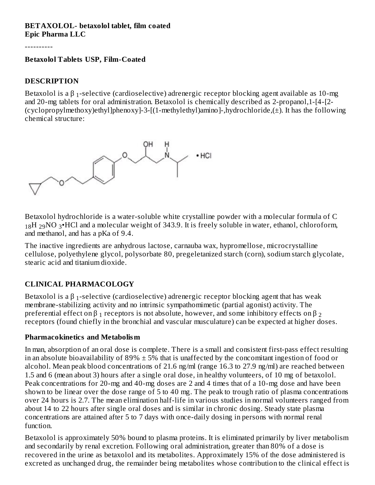#### **BETAXOLOL- betaxolol tablet, film coated Epic Pharma LLC**

----------

#### **Betaxolol Tablets USP, Film-Coated**

#### **DESCRIPTION**

Betaxolol is a β <sub>1</sub>-selective (cardioselective) adrenergic receptor blocking agent available as 10-mg and 20-mg tablets for oral administration. Betaxolol is chemically described as 2-propanol,1-[4-[2- (cyclopropylmethoxy)ethyl]phenoxy]-3-[(1-methylethyl)amino]-,hydrochloride, $(\pm)$ . It has the following chemical structure:



Betaxolol hydrochloride is a water-soluble white crystalline powder with a molecular formula of C  $_{18}$ H  $_{29}$ NO  $_{3}$ •HCl and a molecular weight of 343.9. It is freely soluble in water, ethanol, chloroform, and methanol, and has a pKa of 9.4.

The inactive ingredients are anhydrous lactose, carnauba wax, hypromellose, microcrystalline cellulose, polyethylene glycol, polysorbate 80, pregeletanized starch (corn), sodium starch glycolate, stearic acid and titanium dioxide.

#### **CLINICAL PHARMACOLOGY**

Betaxolol is a β <sub>1</sub>-selective (cardioselective) adrenergic receptor blocking agent that has weak membrane-stabilizing activity and no intrinsic sympathomimetic (partial agonist) activity. The preferential effect on  $\beta$   $_1$  receptors is not absolute, however, and some inhibitory effects on  $\beta$   $_2$ receptors (found chiefly in the bronchial and vascular musculature) can be expected at higher doses.

#### **Pharmacokinetics and Metabolism**

In man, absorption of an oral dose is complete. There is a small and consistent first-pass effect resulting in an absolute bioavailability of  $89\% \pm 5\%$  that is unaffected by the concomitant ingestion of food or alcohol. Mean peak blood concentrations of 21.6 ng/ml (range 16.3 to 27.9 ng/ml) are reached between 1.5 and 6 (mean about 3) hours after a single oral dose, in healthy volunteers, of 10 mg of betaxolol. Peak concentrations for 20-mg and 40-mg doses are 2 and 4 times that of a 10-mg dose and have been shown to be linear over the dose range of 5 to 40 mg. The peak to trough ratio of plasma concentrations over 24 hours is 2.7. The mean elimination half-life in various studies in normal volunteers ranged from about 14 to 22 hours after single oral doses and is similar in chronic dosing. Steady state plasma concentrations are attained after 5 to 7 days with once-daily dosing in persons with normal renal function.

Betaxolol is approximately 50% bound to plasma proteins. It is eliminated primarily by liver metabolism and secondarily by renal excretion. Following oral administration, greater than 80% of a dose is recovered in the urine as betaxolol and its metabolites. Approximately 15% of the dose administered is excreted as unchanged drug, the remainder being metabolites whose contribution to the clinical effect is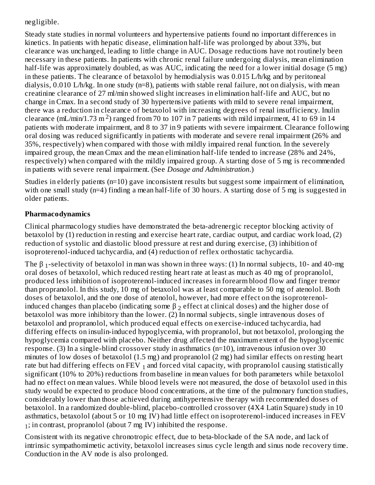# negligible.

Steady state studies in normal volunteers and hypertensive patients found no important differences in kinetics. In patients with hepatic disease, elimination half-life was prolonged by about 33%, but clearance was unchanged, leading to little change in AUC. Dosage reductions have not routinely been necessary in these patients. In patients with chronic renal failure undergoing dialysis, mean elimination half-life was approximately doubled, as was AUC, indicating the need for a lower initial dosage (5 mg) in these patients. The clearance of betaxolol by hemodialysis was 0.015 L/h/kg and by peritoneal dialysis, 0.010 L/h/kg. In one study (n=8), patients with stable renal failure, not on dialysis, with mean creatinine clearance of 27 ml/min showed slight increases in elimination half-life and AUC, but no change in Cmax. In a second study of 30 hypertensive patients with mild to severe renal impairment, there was a reduction in clearance of betaxolol with increasing degrees of renal insufficiency. Inulin clearance (mL/min/1.73 m<sup>2</sup>) ranged from 70 to 107 in 7 patients with mild impairment, 41 to 69 in 14 patients with moderate impairment, and 8 to 37 in 9 patients with severe impairment. Clearance following oral dosing was reduced significantly in patients with moderate and severe renal impairment (26% and 35%, respectively) when compared with those with mildly impaired renal function. In the severely impaired group, the mean Cmax and the mean elimination half-life tended to increase (28% and 24%, respectively) when compared with the mildly impaired group. A starting dose of 5 mg is recommended in patients with severe renal impairment. (See *Dosage and Administration*.)

Studies in elderly patients (n=10) gave inconsistent results but suggest some impairment of elimination, with one small study (n=4) finding a mean half-life of 30 hours. A starting dose of 5 mg is suggested in older patients.

#### **Pharmacodynamics**

Clinical pharmacology studies have demonstrated the beta-adrenergic receptor blocking activity of betaxolol by (1) reduction in resting and exercise heart rate, cardiac output, and cardiac work load, (2) reduction of systolic and diastolic blood pressure at rest and during exercise, (3) inhibition of isoproterenol-induced tachycardia, and (4) reduction of reflex orthostatic tachycardia.

The β<sub>1</sub>-selectivity of betaxolol in man was shown in three ways: (1) In normal subjects, 10- and 40-mg oral doses of betaxolol, which reduced resting heart rate at least as much as 40 mg of propranolol, produced less inhibition of isoproterenol-induced increases in forearm blood flow and finger tremor than propranolol. In this study, 10 mg of betaxolol was at least comparable to 50 mg of atenolol. Both doses of betaxolol, and the one dose of atenolol, however, had more effect on the isoproterenolinduced changes than placebo (indicating some  $\beta$   $_2$  effect at clinical doses) and the higher dose of betaxolol was more inhibitory than the lower. (2) In normal subjects, single intravenous doses of betaxolol and propranolol, which produced equal effects on exercise-induced tachycardia, had differing effects on insulin-induced hypoglycemia, with propranolol, but not betaxolol, prolonging the hypoglycemia compared with placebo. Neither drug affected the maximum extent of the hypoglycemic response. (3) In a single-blind crossover study in asthmatics (n=10), intravenous infusion over 30 minutes of low doses of betaxolol (1.5 mg) and propranolol (2 mg) had similar effects on resting heart rate but had differing effects on FEV  $_1$  and forced vital capacity, with propranolol causing statistically significant (10% to 20%) reductions from baseline in mean values for both parameters while betaxolol had no effect on mean values. While blood levels were not measured, the dose of betaxolol used in this study would be expected to produce blood concentrations, at the time of the pulmonary function studies, considerably lower than those achieved during antihypertensive therapy with recommended doses of betaxolol. In a randomized double-blind, placebo-controlled crossover (4X4 Latin Square) study in 10 asthmatics, betaxolol (about 5 or 10 mg IV) had little effect on isoproterenol-induced increases in FEV ; in contrast, propranolol (about 7 mg IV) inhibited the response. 1

Consistent with its negative chronotropic effect, due to beta-blockade of the SA node, and lack of intrinsic sympathomimetic activity, betaxolol increases sinus cycle length and sinus node recovery time. Conduction in the AV node is also prolonged.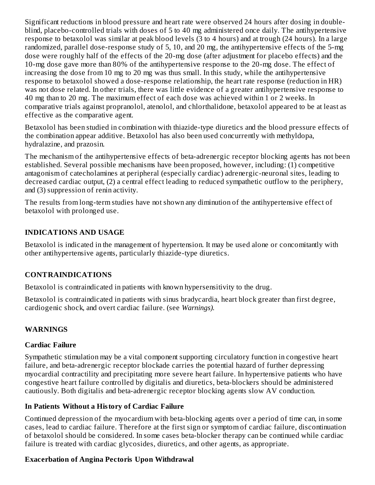Significant reductions in blood pressure and heart rate were observed 24 hours after dosing in doubleblind, placebo-controlled trials with doses of 5 to 40 mg administered once daily. The antihypertensive response to betaxolol was similar at peak blood levels (3 to 4 hours) and at trough (24 hours). In a large randomized, parallel dose-response study of 5, 10, and 20 mg, the antihypertensive effects of the 5-mg dose were roughly half of the effects of the 20-mg dose (after adjustment for placebo effects) and the 10-mg dose gave more than 80% of the antihypertensive response to the 20-mg dose. The effect of increasing the dose from 10 mg to 20 mg was thus small. In this study, while the antihypertensive response to betaxolol showed a dose-response relationship, the heart rate response (reduction in HR) was not dose related. In other trials, there was little evidence of a greater antihypertensive response to 40 mg than to 20 mg. The maximum effect of each dose was achieved within 1 or 2 weeks. In comparative trials against propranolol, atenolol, and chlorthalidone, betaxolol appeared to be at least as effective as the comparative agent.

Betaxolol has been studied in combination with thiazide-type diuretics and the blood pressure effects of the combination appear additive. Betaxolol has also been used concurrently with methyldopa, hydralazine, and prazosin.

The mechanism of the antihypertensive effects of beta-adrenergic receptor blocking agents has not been established. Several possible mechanisms have been proposed, however, including: (1) competitive antagonism of catecholamines at peripheral (especially cardiac) adrenergic-neuronal sites, leading to decreased cardiac output, (2) a central effect leading to reduced sympathetic outflow to the periphery, and (3) suppression of renin activity.

The results from long-term studies have not shown any diminution of the antihypertensive effect of betaxolol with prolonged use.

#### **INDICATIONS AND USAGE**

Betaxolol is indicated in the management of hypertension. It may be used alone or concomitantly with other antihypertensive agents, particularly thiazide-type diuretics.

#### **CONTRAINDICATIONS**

Betaxolol is contraindicated in patients with known hypersensitivity to the drug.

Betaxolol is contraindicated in patients with sinus bradycardia, heart block greater than first degree, cardiogenic shock, and overt cardiac failure. (see *Warnings).*

# **WARNINGS**

#### **Cardiac Failure**

Sympathetic stimulation may be a vital component supporting circulatory function in congestive heart failure, and beta-adrenergic receptor blockade carries the potential hazard of further depressing myocardial contractility and precipitating more severe heart failure. In hypertensive patients who have congestive heart failure controlled by digitalis and diuretics, beta-blockers should be administered cautiously. Both digitalis and beta-adrenergic receptor blocking agents slow AV conduction.

#### **In Patients Without a History of Cardiac Failure**

Continued depression of the myocardium with beta-blocking agents over a period of time can, in some cases, lead to cardiac failure. Therefore at the first sign or symptom of cardiac failure, discontinuation of betaxolol should be considered. In some cases beta-blocker therapy can be continued while cardiac failure is treated with cardiac glycosides, diuretics, and other agents, as appropriate.

# **Exacerbation of Angina Pectoris Upon Withdrawal**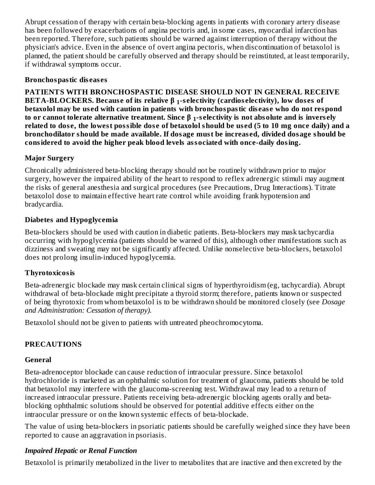Abrupt cessation of therapy with certain beta-blocking agents in patients with coronary artery disease has been followed by exacerbations of angina pectoris and, in some cases, myocardial infarction has been reported. Therefore, such patients should be warned against interruption of therapy without the physician's advice. Even in the absence of overt angina pectoris, when discontinuation of betaxolol is planned, the patient should be carefully observed and therapy should be reinstituted, at least temporarily, if withdrawal symptoms occur.

#### **Bronchospastic dis eas es**

**PATIENTS WITH BRONCHOSPASTIC DISEASE SHOULD NOT IN GENERAL RECEIVE BETA-BLOCKERS. Because of its relative β <sub>1</sub>-selectivity (cardioselectivity), low doses of betaxolol may be us ed with caution in patients with bronchospastic dis eas e who do not respond** to or cannot tolerate alternative treatment. Since  $\boldsymbol{\beta}$   $_1$ -selectivity is not absolute and is inversely related to dose, the lowest possible dose of betaxolol should be used (5 to 10 mg once daily) and a **bronchodilator should be made available. If dosage must be increas ed, divided dosage should be considered to avoid the higher peak blood levels associated with once-daily dosing.**

# **Major Surgery**

Chronically administered beta-blocking therapy should not be routinely withdrawn prior to major surgery, however the impaired ability of the heart to respond to reflex adrenergic stimuli may augment the risks of general anesthesia and surgical procedures (see Precautions, Drug Interactions). Titrate betaxolol dose to maintain effective heart rate control while avoiding frank hypotension and bradycardia.

#### **Diabetes and Hypoglycemia**

Beta-blockers should be used with caution in diabetic patients. Beta-blockers may mask tachycardia occurring with hypoglycemia (patients should be warned of this), although other manifestations such as dizziness and sweating may not be significantly affected. Unlike nonselective beta-blockers, betaxolol does not prolong insulin-induced hypoglycemia.

# **Thyrotoxicosis**

Beta-adrenergic blockade may mask certain clinical signs of hyperthyroidism (eg, tachycardia). Abrupt withdrawal of beta-blockade might precipitate a thyroid storm; therefore, patients known or suspected of being thyrotoxic from whom betaxolol is to be withdrawn should be monitored closely (see *Dosage and Administration: Cessation of therapy).*

Betaxolol should not be given to patients with untreated pheochromocytoma.

# **PRECAUTIONS**

#### **General**

Beta-adrenoceptor blockade can cause reduction of intraocular pressure. Since betaxolol hydrochloride is marketed as an ophthalmic solution for treatment of glaucoma, patients should be told that betaxolol may interfere with the glaucoma-screening test. Withdrawal may lead to a return of increased intraocular pressure. Patients receiving beta-adrenergic blocking agents orally and betablocking ophthalmic solutions should be observed for potential additive effects either on the intraocular pressure or on the known systemic effects of beta-blockade.

The value of using beta-blockers in psoriatic patients should be carefully weighed since they have been reported to cause an aggravation in psoriasis.

# *Impaired Hepatic or Renal Function*

Betaxolol is primarily metabolized in the liver to metabolites that are inactive and then excreted by the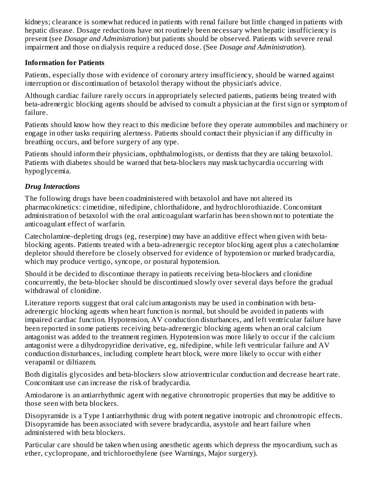kidneys; clearance is somewhat reduced in patients with renal failure but little changed in patients with hepatic disease. Dosage reductions have not routinely been necessary when hepatic insufficiency is present (see *Dosage and Administration*) but patients should be observed. Patients with severe renal impairment and those on dialysis require a reduced dose. (See *Dosage and Administration*).

#### **Information for Patients**

Patients, especially those with evidence of coronary artery insufficiency, should be warned against interruption or discontinuation of betaxolol therapy without the physician's advice.

Although cardiac failure rarely occurs in appropriately selected patients, patients being treated with beta-adrenergic blocking agents should be advised to consult a physician at the first sign or symptom of failure.

Patients should know how they react to this medicine before they operate automobiles and machinery or engage in other tasks requiring alertness. Patients should contact their physician if any difficulty in breathing occurs, and before surgery of any type.

Patients should inform their physicians, ophthalmologists, or dentists that they are taking betaxolol. Patients with diabetes should be warned that beta-blockers may mask tachycardia occurring with hypoglycemia.

# *Drug Interactions*

The following drugs have been coadministered with betaxolol and have not altered its pharmacokinetics: cimetidine, nifedipine, chlorthalidone, and hydrochlorothiazide. Concomitant administration of betaxolol with the oral anticoagulant warfarin has been shown not to potentiate the anticoagulant effect of warfarin.

Catecholamine-depleting drugs (eg, reserpine) may have an additive effect when given with betablocking agents. Patients treated with a beta-adrenergic receptor blocking agent plus a catecholamine depletor should therefore be closely observed for evidence of hypotension or marked bradycardia, which may produce vertigo, syncope, or postural hypotension.

Should it be decided to discontinue therapy in patients receiving beta-blockers and clonidine concurrently, the beta-blocker should be discontinued slowly over several days before the gradual withdrawal of clonidine.

Literature reports suggest that oral calcium antagonists may be used in combination with betaadrenergic blocking agents when heart function is normal, but should be avoided in patients with impaired cardiac function. Hypotension, AV conduction disturbances, and left ventricular failure have been reported in some patients receiving beta-adrenergic blocking agents when an oral calcium antagonist was added to the treatment regimen. Hypotension was more likely to occur if the calcium antagonist were a dihydropyridine derivative, eg, nifedipine, while left ventricular failure and AV conduction disturbances, including complete heart block, were more likely to occur with either verapamil or diltiazem.

Both digitalis glycosides and beta-blockers slow atrioventricular conduction and decrease heart rate. Concomitant use can increase the risk of bradycardia.

Amiodarone is an antiarrhythmic agent with negative chronotropic properties that may be additive to those seen with beta blockers.

Disopyramide is a Type I antiarrhythmic drug with potent negative inotropic and chronotropic effects. Disopyramide has been associated with severe bradycardia, asystole and heart failure when administered with beta blockers.

Particular care should be taken when using anesthetic agents which depress the myocardium, such as ether, cyclopropane, and trichloroethylene (see Warnings, Major surgery).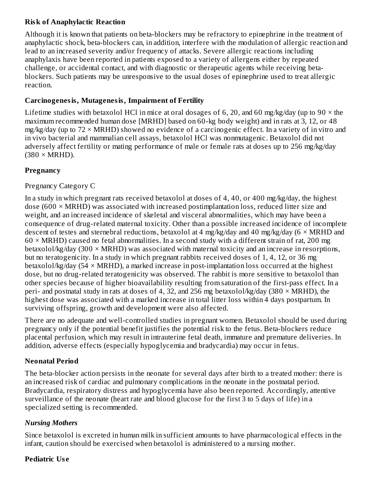# **Risk of Anaphylactic Reaction**

Although it is known that patients on beta-blockers may be refractory to epinephrine in the treatment of anaphylactic shock, beta-blockers can, in addition, interfere with the modulation of allergic reaction and lead to an increased severity and/or frequency of attacks. Severe allergic reactions including anaphylaxis have been reported in patients exposed to a variety of allergens either by repeated challenge, or accidental contact, and with diagnostic or therapeutic agents while receiving betablockers. Such patients may be unresponsive to the usual doses of epinephrine used to treat allergic reaction.

#### **Carcinogenesis, Mutagenesis, Impairment of Fertility**

Lifetime studies with betaxolol HCl in mice at oral dosages of 6, 20, and 60 mg/kg/day (up to 90  $\times$  the maximum recommended human dose [MRHD] based on 60-kg body weight) and in rats at 3, 12, or 48  $mg/kg$ /day (up to  $72 \times MRHD$ ) showed no evidence of a carcinogenic effect. In a variety of in vitro and in vivo bacterial and mammalian cell assays, betaxolol HCl was nonmutagenic. Betaxolol did not adversely affect fertility or mating performance of male or female rats at doses up to 256 mg/kg/day  $(380 \times \text{MRHD}).$ 

# **Pregnancy**

#### Pregnancy Category C

In a study in which pregnant rats received betaxolol at doses of 4, 40, or 400 mg/kg/day, the highest dose (600  $\times$  MRHD) was associated with increased postimplantation loss, reduced litter size and weight, and an increased incidence of skeletal and visceral abnormalities, which may have been a consequence of drug-related maternal toxicity. Other than a possible increased incidence of incomplete descent of testes and sternebral reductions, betaxolol at 4 mg/kg/day and 40 mg/kg/day ( $6 \times MRHD$  and  $60 \times MRHD$ ) caused no fetal abnormalities. In a second study with a different strain of rat, 200 mg betaxolol/kg/day (300  $\times$  MRHD) was associated with maternal toxicity and an increase in resorptions, but no teratogenicity. In a study in which pregnant rabbits received doses of 1, 4, 12, or 36 mg betaxolol/kg/day (54 × MRHD), a marked increase in post-implantation loss occurred at the highest dose, but no drug-related teratogenicity was observed. The rabbit is more sensitive to betaxolol than other species because of higher bioavailability resulting from saturation of the first-pass effect. In a peri- and postnatal study in rats at doses of 4, 32, and 256 mg betaxolol/kg/day (380  $\times$  MRHD), the highest dose was associated with a marked increase in total litter loss within 4 days postpartum. In surviving offspring, growth and development were also affected.

There are no adequate and well-controlled studies in pregnant women. Betaxolol should be used during pregnancy only if the potential benefit justifies the potential risk to the fetus. Beta-blockers reduce placental perfusion, which may result in intrauterine fetal death, immature and premature deliveries. In addition, adverse effects (especially hypoglycemia and bradycardia) may occur in fetus.

# **Neonatal Period**

The beta-blocker action persists in the neonate for several days after birth to a treated mother: there is an increased risk of cardiac and pulmonary complications in the neonate in the postnatal period. Bradycardia, respiratory distress and hypoglycemia have also been reported. Accordingly, attentive surveillance of the neonate (heart rate and blood glucose for the first 3 to 5 days of life) in a specialized setting is recommended.

# *Nursing Mothers*

Since betaxolol is excreted in human milk in sufficient amounts to have pharmacological effects in the infant, caution should be exercised when betaxolol is administered to a nursing mother.

# **Pediatric Us e**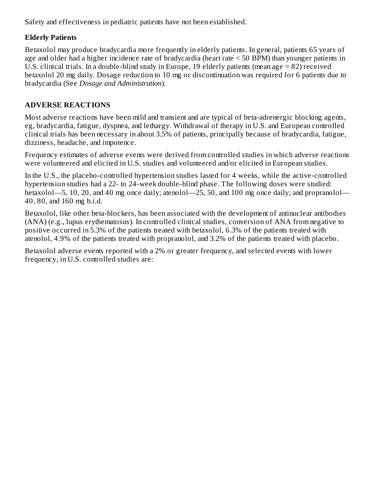Safety and effectiveness in pediatric patients have not been established.

# **Elderly Patients**

Betaxolol may produce bradycardia more frequently in elderly patients. In general, patients 65 years of age and older had a higher incidence rate of bradycardia (heart rate < 50 BPM) than younger patients in U.S. clinical trials. In a double-blind study in Europe, 19 elderly patients (mean age = 82) received betaxolol 20 mg daily. Dosage reduction to 10 mg or discontinuation was required for 6 patients due to bradycardia (See *Dosage and Administration*).

# **ADVERSE REACTIONS**

Most adverse reactions have been mild and transient and are typical of beta-adrenergic blocking agents, eg, bradycardia, fatigue, dyspnea, and lethargy. Withdrawal of therapy in U.S. and European controlled clinical trials has been necessary in about 3.5% of patients, principally because of bradycardia, fatigue, dizziness, headache, and impotence.

Frequency estimates of adverse events were derived from controlled studies in which adverse reactions were volunteered and elicited in U.S. studies and volunteered and/or elicited in European studies.

In the U.S., the placebo-controlled hypertension studies lasted for 4 weeks, while the active-controlled hypertension studies had a 22- to 24-week double-blind phase. The following doses were studied: betaxolol—5, 10, 20, and 40 mg once daily; atenolol—25, 50, and 100 mg once daily; and propranolol— 40, 80, and 160 mg b.i.d.

Betaxolol, like other beta-blockers, has been associated with the development of antinuclear antibodies (ANA) (e.g., lupus erythematosus). In controlled clinical studies, conversion of ANA from negative to positive occurred in 5.3% of the patients treated with betaxolol, 6.3% of the patients treated with atenolol, 4.9% of the patients treated with propranolol, and 3.2% of the patients treated with placebo.

Betaxolol adverse events reported with a 2% or greater frequency, and selected events with lower frequency, in U.S. controlled studies are: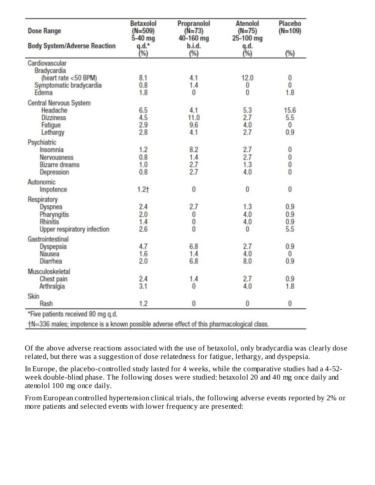| <b>Dose Range</b>                   | <b>Betaxolol</b><br>$(N=509)$<br>$5-40$ mg | Propranolol<br>$(N=73)$<br>40-160 mg | <b>Atenolol</b><br>$(N=75)$<br>25-100 mg | Placebo<br>$(N=109)$ |
|-------------------------------------|--------------------------------------------|--------------------------------------|------------------------------------------|----------------------|
| <b>Body System/Adverse Reaction</b> | $q.d.*$<br>(%)                             | b.i.d.<br>(%)                        | q.d.<br>$(\%)$                           | (%)                  |
| Cardiovascular<br>Bradycardia       |                                            |                                      |                                          |                      |
| (heart rate <50 BPM)                | 8.1                                        | 4.1                                  | 12.0                                     | 0                    |
| Symptomatic bradycardia             | 0.8                                        | 1.4                                  | $\bf{0}$                                 | $\overline{0}$       |
| Edema                               | 1.8                                        | 0                                    | $\mathbf{0}$                             | 1.8                  |
| Central Nervous System              |                                            |                                      |                                          |                      |
| Headache                            | 6.5                                        | 4.1                                  | 5.3                                      | 15.6                 |
| <b>Dizziness</b>                    | 4.5                                        | 11.0                                 | 2.7                                      | 5.5                  |
| Fatigue                             | 2.9                                        | 9.6                                  | 4.0                                      | 0                    |
| Lethargy                            | 2.8                                        | 4.1                                  | 2.7                                      | 0.9                  |
| Psychiatric                         |                                            |                                      |                                          |                      |
| Insomnia                            | 1.2                                        | 8.2                                  | 2.7                                      | 0                    |
| Nervousness                         | 0.8                                        | 1.4                                  | 2.7                                      | 0                    |
| <b>Bizarre</b> dreams               | 1.0                                        | 2.7                                  | 1.3                                      | 0                    |
| Depression                          | 0.8                                        | 2.7                                  | 4.0                                      | $\bf{0}$             |
| Autonomic                           |                                            |                                      |                                          |                      |
| Impotence                           | $1.2+$                                     | $\bf{0}$                             | 0                                        | 0                    |
| Respiratory                         |                                            |                                      |                                          |                      |
| Dyspnea                             | 2.4                                        | 2.7                                  | 1.3                                      | 0.9                  |
| Pharyngitis                         | 2.0                                        | 0                                    | 4.0                                      | 0.9                  |
| Rhinitis                            | 1.4                                        | 0                                    | 4.0                                      | 0.9                  |
| Upper respiratory infection         | 2.6                                        | $\theta$                             | $\theta$                                 | 5.5                  |
| Gastrointestinal                    |                                            |                                      |                                          |                      |
| Dyspepsia                           | 4.7                                        | 6.8                                  | 2.7                                      | 0.9                  |
| Nausea                              | 1.6                                        | 1.4                                  | 4.0                                      | $\bf{0}$             |
| <b>Diarrhea</b>                     | 2.0                                        | 6.8                                  | 8.0                                      | 0.9                  |
| Musculoskeletal                     |                                            |                                      |                                          |                      |
| Chest pain                          | 2.4                                        | 1.4                                  | 2.7                                      | 0.9                  |
| Arthralgia                          | 3.1                                        | 0                                    | 4.0                                      | 1.8                  |
| Skin                                |                                            |                                      |                                          |                      |
| Rash                                | 1.2                                        | 0                                    | 0                                        | 0                    |
| *Five patients received 80 mg q.d.  |                                            |                                      |                                          |                      |

+N=336 males; impotence is a known possible adverse effect of this pharmacological class.

Of the above adverse reactions associated with the use of betaxolol, only bradycardia was clearly dose related, but there was a suggestion of dose relatedness for fatigue, lethargy, and dyspepsia.

In Europe, the placebo-controlled study lasted for 4 weeks, while the comparative studies had a 4-52 week double-blind phase. The following doses were studied: betaxolol 20 and 40 mg once daily and atenolol 100 mg once daily.

From European controlled hypertension clinical trials, the following adverse events reported by 2% or more patients and selected events with lower frequency are presented: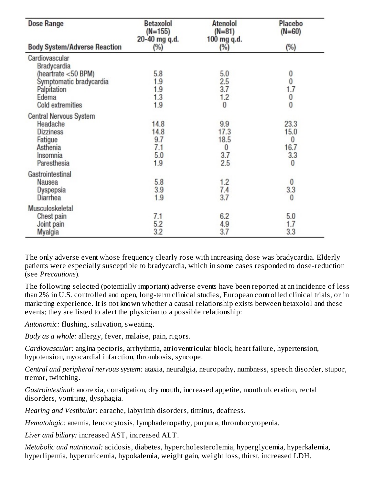| <b>Dose Range</b>                   | <b>Betaxolol</b><br>$(N=155)$<br>20-40 mg q.d. | <b>Atenolol</b><br>$(N=81)$<br>100 mg q.d. | Placebo<br>$(N=60)$                        |
|-------------------------------------|------------------------------------------------|--------------------------------------------|--------------------------------------------|
| <b>Body System/Adverse Reaction</b> | $(\%)$                                         | $(\%)$                                     | (%)                                        |
| Cardiovascular<br>Bradycardia       |                                                |                                            |                                            |
| (heartrate <50 BPM)                 | 5.8                                            | 5.0                                        | 0                                          |
| Symptomatic bradycardia             | 1.9                                            | 2.5                                        | $\overline{0}$                             |
| Palpitation<br>Edema                | 1.9<br>1.3                                     | 3.7<br>1.2                                 | 1.7                                        |
| Cold extremities                    | 1.9                                            | $\bf{0}$                                   | $\begin{smallmatrix}0\\0\end{smallmatrix}$ |
| Central Nervous System              |                                                |                                            |                                            |
| Headache                            | 14.8                                           | 9.9                                        | 23.3                                       |
| <b>Dizziness</b>                    | 14.8                                           | 17.3                                       | 15.0                                       |
| Fatigue                             | 9.7                                            | 18.5                                       | 0                                          |
| Asthenia                            | 7.1                                            | 0                                          | 16.7                                       |
| Insomnia                            | 5.0                                            | 3.7                                        | 3.3                                        |
| Paresthesia                         | 1.9                                            | 2.5                                        | 0                                          |
| Gastrointestinal                    |                                                |                                            |                                            |
| Nausea                              | 5.8                                            | 1.2                                        | $\bf{0}$                                   |
| Dyspepsia                           | 3.9                                            | 7.4                                        | 3.3                                        |
| Diarrhea                            | 1.9                                            | 3.7                                        | 0                                          |
| Musculoskeletal                     |                                                |                                            |                                            |
| Chest pain                          | 7.1                                            | 6.2                                        | 5.0                                        |
| Joint pain                          | 5.2                                            | 4.9                                        | 1.7                                        |
| Myalgia                             | 3.2                                            | 3.7                                        | 3.3                                        |

The only adverse event whose frequency clearly rose with increasing dose was bradycardia. Elderly patients were especially susceptible to bradycardia, which in some cases responded to dose-reduction (see *Precautions*).

The following selected (potentially important) adverse events have been reported at an incidence of less than 2% in U.S. controlled and open, long-term clinical studies, European controlled clinical trials, or in marketing experience. It is not known whether a causal relationship exists between betaxolol and these events; they are listed to alert the physician to a possible relationship:

*Autonomic:* flushing, salivation, sweating.

*Body as a whole:* allergy, fever, malaise, pain, rigors.

*Cardiovascular:* angina pectoris, arrhythmia, atrioventricular block, heart failure, hypertension, hypotension, myocardial infarction, thrombosis, syncope.

*Central and peripheral nervous system:* ataxia, neuralgia, neuropathy, numbness, speech disorder, stupor, tremor, twitching.

*Gastrointestinal:* anorexia, constipation, dry mouth, increased appetite, mouth ulceration, rectal disorders, vomiting, dysphagia.

*Hearing and Vestibular:* earache, labyrinth disorders, tinnitus, deafness.

*Hematologic:* anemia, leucocytosis, lymphadenopathy, purpura, thrombocytopenia.

*Liver and biliary:* increased AST, increased ALT.

*Metabolic and nutritional:* acidosis, diabetes, hypercholesterolemia, hyperglycemia, hyperkalemia, hyperlipemia, hyperuricemia, hypokalemia, weight gain, weight loss, thirst, increased LDH.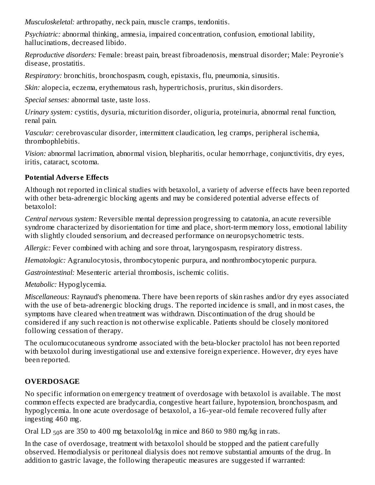*Musculoskeletal:* arthropathy, neck pain, muscle cramps, tendonitis.

*Psychiatric:* abnormal thinking, amnesia, impaired concentration, confusion, emotional lability, hallucinations, decreased libido.

*Reproductive disorders:* Female: breast pain, breast fibroadenosis, menstrual disorder; Male: Peyronie's disease, prostatitis.

*Respiratory:* bronchitis, bronchospasm, cough, epistaxis, flu, pneumonia, sinusitis.

*Skin:* alopecia, eczema, erythematous rash, hypertrichosis, pruritus, skin disorders.

*Special senses:* abnormal taste, taste loss.

*Urinary system:* cystitis, dysuria, micturition disorder, oliguria, proteinuria, abnormal renal function, renal pain.

*Vascular:* cerebrovascular disorder, intermittent claudication, leg cramps, peripheral ischemia, thrombophlebitis.

*Vision:* abnormal lacrimation, abnormal vision, blepharitis, ocular hemorrhage, conjunctivitis, dry eyes, iritis, cataract, scotoma.

# **Potential Advers e Effects**

Although not reported in clinical studies with betaxolol, a variety of adverse effects have been reported with other beta-adrenergic blocking agents and may be considered potential adverse effects of betaxolol:

*Central nervous system:* Reversible mental depression progressing to catatonia, an acute reversible syndrome characterized by disorientation for time and place, short-term memory loss, emotional lability with slightly clouded sensorium, and decreased performance on neuropsychometric tests.

*Allergic:* Fever combined with aching and sore throat, laryngospasm, respiratory distress.

*Hematologic:* Agranulocytosis, thrombocytopenic purpura, and nonthrombocytopenic purpura.

*Gastrointestinal:* Mesenteric arterial thrombosis, ischemic colitis.

*Metabolic:* Hypoglycemia.

*Miscellaneous:* Raynaud's phenomena. There have been reports of skin rashes and/or dry eyes associated with the use of beta-adrenergic blocking drugs. The reported incidence is small, and in most cases, the symptoms have cleared when treatment was withdrawn. Discontinuation of the drug should be considered if any such reaction is not otherwise explicable. Patients should be closely monitored following cessation of therapy.

The oculomucocutaneous syndrome associated with the beta-blocker practolol has not been reported with betaxolol during investigational use and extensive foreign experience. However, dry eyes have been reported.

# **OVERDOSAGE**

No specific information on emergency treatment of overdosage with betaxolol is available. The most common effects expected are bradycardia, congestive heart failure, hypotension, bronchospasm, and hypoglycemia. In one acute overdosage of betaxolol, a 16-year-old female recovered fully after ingesting 460 mg.

Oral LD  $_{50}$ s are 350 to 400 mg betaxolol/kg in mice and 860 to 980 mg/kg in rats.

In the case of overdosage, treatment with betaxolol should be stopped and the patient carefully observed. Hemodialysis or peritoneal dialysis does not remove substantial amounts of the drug. In addition to gastric lavage, the following therapeutic measures are suggested if warranted: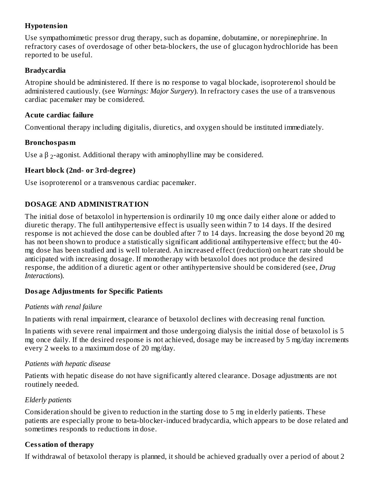#### **Hypotension**

Use sympathomimetic pressor drug therapy, such as dopamine, dobutamine, or norepinephrine. In refractory cases of overdosage of other beta-blockers, the use of glucagon hydrochloride has been reported to be useful.

#### **Bradycardia**

Atropine should be administered. If there is no response to vagal blockade, isoproterenol should be administered cautiously. (see *Warnings: Major Surgery*). In refractory cases the use of a transvenous cardiac pacemaker may be considered.

#### **Acute cardiac failure**

Conventional therapy including digitalis, diuretics, and oxygen should be instituted immediately.

#### **Bronchospasm**

Use a  $\beta$  <sub>2</sub>-agonist. Additional therapy with aminophylline may be considered.

# **Heart block (2nd- or 3rd-degree)**

Use isoproterenol or a transvenous cardiac pacemaker.

# **DOSAGE AND ADMINISTRATION**

The initial dose of betaxolol in hypertension is ordinarily 10 mg once daily either alone or added to diuretic therapy. The full antihypertensive effect is usually seen within 7 to 14 days. If the desired response is not achieved the dose can be doubled after 7 to 14 days. Increasing the dose beyond 20 mg has not been shown to produce a statistically significant additional antihypertensive effect; but the 40mg dose has been studied and is well tolerated. An increased effect (reduction) on heart rate should be anticipated with increasing dosage. If monotherapy with betaxolol does not produce the desired response, the addition of a diuretic agent or other antihypertensive should be considered (see, *Drug Interactions*).

# **Dosage Adjustments for Specific Patients**

# *Patients with renal failure*

In patients with renal impairment, clearance of betaxolol declines with decreasing renal function.

In patients with severe renal impairment and those undergoing dialysis the initial dose of betaxolol is 5 mg once daily. If the desired response is not achieved, dosage may be increased by 5 mg/day increments every 2 weeks to a maximum dose of 20 mg/day.

# *Patients with hepatic disease*

Patients with hepatic disease do not have significantly altered clearance. Dosage adjustments are not routinely needed.

# *Elderly patients*

Consideration should be given to reduction in the starting dose to 5 mg in elderly patients. These patients are especially prone to beta-blocker-induced bradycardia, which appears to be dose related and sometimes responds to reductions in dose.

# **Cessation of therapy**

If withdrawal of betaxolol therapy is planned, it should be achieved gradually over a period of about 2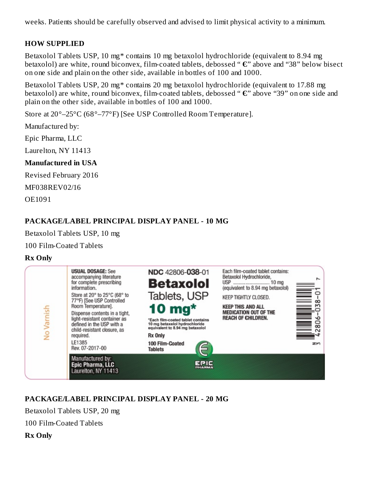weeks. Patients should be carefully observed and advised to limit physical activity to a minimum.

#### **HOW SUPPLIED**

Betaxolol Tablets USP, 10 mg\* contains 10 mg betaxolol hydrochloride (equivalent to 8.94 mg betaxolol) are white, round biconvex, film-coated tablets, debossed " **Є**" above and "38" below bisect on one side and plain on the other side, available in bottles of 100 and 1000.

Betaxolol Tablets USP, 20 mg\* contains 20 mg betaxolol hydrochloride (equivalent to 17.88 mg betaxolol) are white, round biconvex, film-coated tablets, debossed " **Є**" above "39" on one side and plain on the other side, available in bottles of 100 and 1000.

Store at 20°–25°C (68°–77°F) [See USP Controlled Room Temperature].

Manufactured by:

Epic Pharma, LLC

Laurelton, NY 11413

#### **Manufactured in USA**

Revised February 2016

MF038REV02/16

OE1091

# **PACKAGE/LABEL PRINCIPAL DISPLAY PANEL - 10 MG**

Betaxolol Tablets USP, 10 mg

100 Film-Coated Tablets

#### **Rx Only**



# **PACKAGE/LABEL PRINCIPAL DISPLAY PANEL - 20 MG**

Betaxolol Tablets USP, 20 mg

100 Film-Coated Tablets

**Rx Only**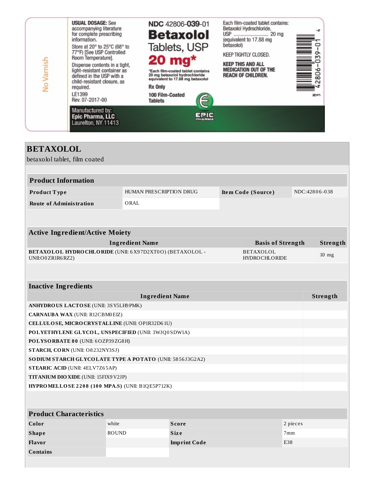

| <b>BETAXOLOL</b>                                                            |                                |                     |  |                                          |                 |          |
|-----------------------------------------------------------------------------|--------------------------------|---------------------|--|------------------------------------------|-----------------|----------|
| betaxolol tablet, film coated                                               |                                |                     |  |                                          |                 |          |
|                                                                             |                                |                     |  |                                          |                 |          |
| <b>Product Information</b>                                                  |                                |                     |  |                                          |                 |          |
| Product Type                                                                | <b>HUMAN PRESCRIPTION DRUG</b> |                     |  | Item Code (Source)                       | NDC:42806-038   |          |
| <b>Route of Administration</b>                                              | ORAL                           |                     |  |                                          |                 |          |
|                                                                             |                                |                     |  |                                          |                 |          |
|                                                                             |                                |                     |  |                                          |                 |          |
| <b>Active Ingredient/Active Moiety</b>                                      |                                |                     |  |                                          |                 |          |
|                                                                             | <b>Ingredient Name</b>         |                     |  | <b>Basis of Strength</b>                 |                 | Strength |
| BETAXOLOL HYDROCHLORIDE (UNII: 6X97D2XT0O) (BETAXOLOL -<br>UNII:O0ZR1R6RZ2) |                                |                     |  | <b>BETAXOLOL</b><br><b>HYDROCHLORIDE</b> |                 | $10$ mg  |
|                                                                             |                                |                     |  |                                          |                 |          |
| <b>Inactive Ingredients</b>                                                 |                                |                     |  |                                          |                 |          |
|                                                                             | <b>Ingredient Name</b>         |                     |  |                                          |                 | Strength |
| ANHYDROUS LACTOSE (UNII: 3SY5LH9 PMK)                                       |                                |                     |  |                                          |                 |          |
| <b>CARNAUBA WAX (UNII: R12CBM0EIZ)</b>                                      |                                |                     |  |                                          |                 |          |
| CELLULOSE, MICRO CRYSTALLINE (UNII: OP1R32D61U)                             |                                |                     |  |                                          |                 |          |
| POLYETHYLENE GLYCOL, UNSPECIFIED (UNII: 3WJQ0SDW1A)                         |                                |                     |  |                                          |                 |          |
| POLYSORBATE 80 (UNII: 6OZP39ZG8H)                                           |                                |                     |  |                                          |                 |          |
| STARCH, CORN (UNII: O8232NY3SJ)                                             |                                |                     |  |                                          |                 |          |
| SODIUM STARCH GLYCOLATE TYPE A POTATO (UNII: 5856J3G2A2)                    |                                |                     |  |                                          |                 |          |
| <b>STEARIC ACID (UNII: 4ELV7Z65AP)</b>                                      |                                |                     |  |                                          |                 |          |
| <b>TITANIUM DIO XIDE</b> (UNII: 15FIX9 V2JP)                                |                                |                     |  |                                          |                 |          |
| HYPROMELLOSE 2208 (100 MPA.S) (UNII: B1QE5P712K)                            |                                |                     |  |                                          |                 |          |
|                                                                             |                                |                     |  |                                          |                 |          |
| <b>Product Characteristics</b>                                              |                                |                     |  |                                          |                 |          |
| Color                                                                       | white                          | <b>Score</b>        |  |                                          | 2 pieces        |          |
| <b>Shape</b>                                                                | <b>ROUND</b>                   | <b>Size</b>         |  |                                          | 7 <sub>mm</sub> |          |
| Flavor                                                                      |                                | E38<br>Imprint Code |  |                                          |                 |          |

**Contains**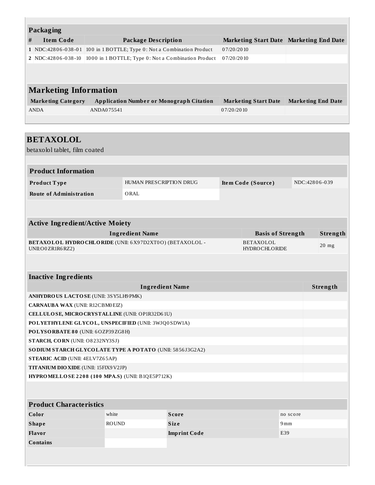|                                                                              | <b>Packaging</b>                               |                             |                                                                       |                                         |  |  |  |
|------------------------------------------------------------------------------|------------------------------------------------|-----------------------------|-----------------------------------------------------------------------|-----------------------------------------|--|--|--|
| #                                                                            | <b>Item Code</b>                               |                             | <b>Package Description</b>                                            | Marketing Start Date Marketing End Date |  |  |  |
|                                                                              |                                                |                             | 1 NDC:42806-038-01 100 in 1 BOTTLE; Type 0: Not a Combination Product | 07/20/2010                              |  |  |  |
|                                                                              | 2 NDC:42806-038-10                             |                             | 1000 in 1 BOTTLE; Type 0: Not a Combination Product                   | 07/20/2010                              |  |  |  |
|                                                                              |                                                |                             |                                                                       |                                         |  |  |  |
|                                                                              |                                                |                             |                                                                       |                                         |  |  |  |
|                                                                              |                                                |                             |                                                                       |                                         |  |  |  |
|                                                                              | <b>Marketing Information</b>                   |                             |                                                                       |                                         |  |  |  |
| <b>Marketing Category</b><br><b>Application Number or Monograph Citation</b> |                                                | <b>Marketing Start Date</b> | <b>Marketing End Date</b>                                             |                                         |  |  |  |
|                                                                              | <b>ANDA</b>                                    | ANDA075541                  |                                                                       | 07/20/2010                              |  |  |  |
|                                                                              |                                                |                             |                                                                       |                                         |  |  |  |
|                                                                              |                                                |                             |                                                                       |                                         |  |  |  |
|                                                                              | <b>BETAXOLOL</b>                               |                             |                                                                       |                                         |  |  |  |
|                                                                              | betaxolol tablet, film coated                  |                             |                                                                       |                                         |  |  |  |
|                                                                              |                                                |                             |                                                                       |                                         |  |  |  |
|                                                                              |                                                |                             |                                                                       |                                         |  |  |  |
|                                                                              | <b>Product Information</b>                     |                             |                                                                       |                                         |  |  |  |
|                                                                              | <b>HUMAN PRESCRIPTION DRUG</b><br>Product Type |                             | Item Code (Source)                                                    | NDC:42806-039                           |  |  |  |

**Route of Administration** ORAL

| <b>Active Ingredient/Active Moiety</b>                                               |                            |          |  |  |
|--------------------------------------------------------------------------------------|----------------------------|----------|--|--|
| Ingredient Name                                                                      | <b>Basis of Strength</b>   | Strength |  |  |
| <b>BETAXOLOL HYDROCHLORIDE</b> (UNII: 6X97D2XT0O) (BETAXOLOL -<br>UNII:O0 ZR1R6 RZ2) | BETAXOLOL<br>HYDROCHLORIDE | $20$ mg  |  |  |

#### **Inactive Ingredients**

| <b>Ingredient Name</b>                                   | Strength |  |
|----------------------------------------------------------|----------|--|
| ANHYDROUS LACTOSE (UNII: 3SY5LH9PMK)                     |          |  |
| <b>CARNAUBA WAX (UNII: R12CBM0EIZ)</b>                   |          |  |
| CELLULOSE, MICRO CRYSTALLINE (UNII: OP1R32D61U)          |          |  |
| POLYETHYLENE GLYCOL, UNSPECIFIED (UNII: 3WJQ0SDW1A)      |          |  |
| POLYSORBATE 80 (UNII: 6OZP39ZG8H)                        |          |  |
| STARCH, CORN (UNII: O8232NY3SJ)                          |          |  |
| SODIUM STARCH GLYCOLATE TYPE A POTATO (UNII: 5856J3G2A2) |          |  |
| <b>STEARIC ACID (UNII: 4ELV7Z65AP)</b>                   |          |  |
| <b>TITANIUM DIO XIDE</b> (UNII: 15FIX9 V2JP)             |          |  |
| HYPROMELLOSE 2208 (100 MPA.S) (UNII: B1QE5P712K)         |          |  |

| <b>Product Characteristics</b> |              |                     |          |  |  |
|--------------------------------|--------------|---------------------|----------|--|--|
| Color                          | white        | <b>Score</b>        | no score |  |  |
| <b>Shape</b>                   | <b>ROUND</b> | <b>Size</b>         | 9mm      |  |  |
| Flavor                         |              | <b>Imprint Code</b> | E39      |  |  |
| <b>Contains</b>                |              |                     |          |  |  |